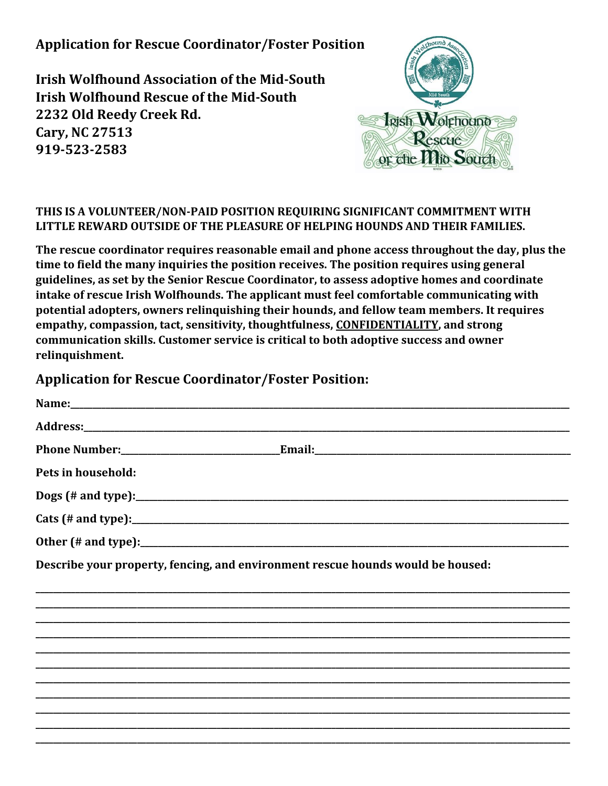**Application for Rescue Coordinator/Foster Position**

**Irish Wolfhound Association of the Mid-South Irish Wolfhound Rescue of the Mid-South 2232 Old Reedy Creek Rd. Cary, NC 27513 919-523-2583**



## **THIS IS A VOLUNTEER/NON-PAID POSITION REQUIRING SIGNIFICANT COMMITMENT WITH LITTLE REWARD OUTSIDE OF THE PLEASURE OF HELPING HOUNDS AND THEIR FAMILIES.**

**The rescue coordinator requires reasonable email and phone access throughout the day, plus the time to field the many inquiries the position receives. The position requires using general guidelines, as set by the Senior Rescue Coordinator, to assess adoptive homes and coordinate intake of rescue Irish Wolfhounds. The applicant must feel comfortable communicating with potential adopters, owners relinquishing their hounds, and fellow team members. It requires empathy, compassion, tact, sensitivity, thoughtfulness, CONFIDENTIALITY, and strong communication skills. Customer service is critical to both adoptive success and owner relinquishment.** 

## **Application for Rescue Coordinator/Foster Position:**

| Pets in household:                                                              |  |
|---------------------------------------------------------------------------------|--|
|                                                                                 |  |
|                                                                                 |  |
|                                                                                 |  |
| Describe your property, fencing, and environment rescue hounds would be housed: |  |
|                                                                                 |  |
|                                                                                 |  |
|                                                                                 |  |
|                                                                                 |  |
|                                                                                 |  |
|                                                                                 |  |
|                                                                                 |  |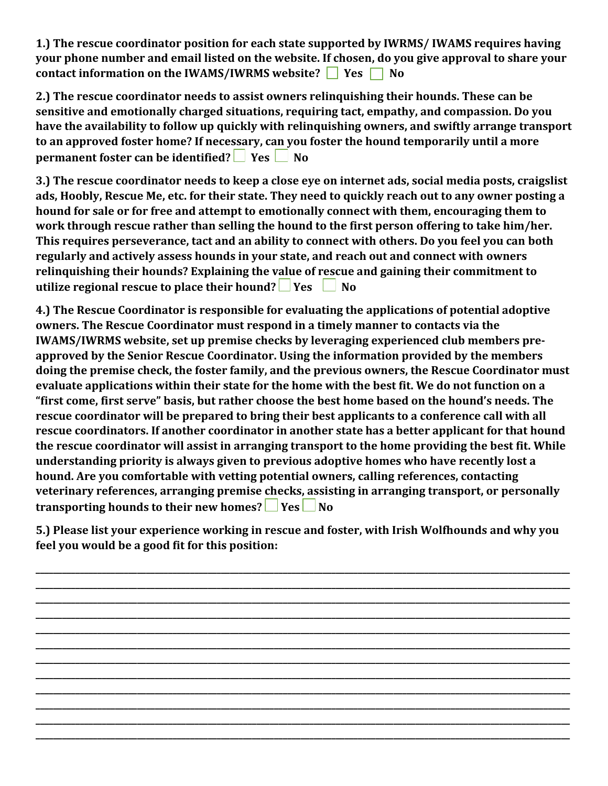**1.) The rescue coordinator position for each state supported by IWRMS/ IWAMS requires having your phone number and email listed on the website. If chosen, do you give approval to share your contact information on the IWAMS/IWRMS website?** Similarly Pesson No

**2.) The rescue coordinator needs to assist owners relinquishing their hounds. These can be sensitive and emotionally charged situations, requiring tact, empathy, and compassion. Do you have the availability to follow up quickly with relinquishing owners, and swiftly arrange transport to an approved foster home? If necessary, can you foster the hound temporarily until a more permanent foster can be identified?** Yes **No** 

**3.) The rescue coordinator needs to keep a close eye on internet ads, social media posts, craigslist ads, Hoobly, Rescue Me, etc. for their state. They need to quickly reach out to any owner posting a hound for sale or for free and attempt to emotionally connect with them, encouraging them to work through rescue rather than selling the hound to the first person offering to take him/her. This requires perseverance, tact and an ability to connect with others. Do you feel you can both regularly and actively assess hounds in your state, and reach out and connect with owners relinquishing their hounds? Explaining the value of rescue and gaining their commitment to utilize regional rescue to place their hound?** Pres  $\Box$  No

**4.) The Rescue Coordinator is responsible for evaluating the applications of potential adoptive owners. The Rescue Coordinator must respond in a timely manner to contacts via the IWAMS/IWRMS website, set up premise checks by leveraging experienced club members preapproved by the Senior Rescue Coordinator. Using the information provided by the members doing the premise check, the foster family, and the previous owners, the Rescue Coordinator must evaluate applications within their state for the home with the best fit. We do not function on a "first come, first serve" basis, but rather choose the best home based on the hound's needs. The rescue coordinator will be prepared to bring their best applicants to a conference call with all rescue coordinators. If another coordinator in another state has a better applicant for that hound the rescue coordinator will assist in arranging transport to the home providing the best fit. While understanding priority is always given to previous adoptive homes who have recently lost a hound. Are you comfortable with vetting potential owners, calling references, contacting veterinary references, arranging premise checks, assisting in arranging transport, or personally transporting hounds to their new homes?**  $\Box$  Yes  $\Box$  No

**5.) Please list your experience working in rescue and foster, with Irish Wolfhounds and why you feel you would be a good fit for this position:**

**\_\_\_\_\_\_\_\_\_\_\_\_\_\_\_\_\_\_\_\_\_\_\_\_\_\_\_\_\_\_\_\_\_\_\_\_\_\_\_\_\_\_\_\_\_\_\_\_\_\_\_\_\_\_\_\_\_\_\_\_\_\_\_\_\_\_\_\_\_\_\_\_\_\_\_\_\_\_\_\_\_\_\_\_\_\_\_\_\_\_\_\_\_\_\_\_\_\_\_\_\_\_\_\_\_\_\_\_\_\_\_\_\_\_\_\_\_\_\_\_\_ \_\_\_\_\_\_\_\_\_\_\_\_\_\_\_\_\_\_\_\_\_\_\_\_\_\_\_\_\_\_\_\_\_\_\_\_\_\_\_\_\_\_\_\_\_\_\_\_\_\_\_\_\_\_\_\_\_\_\_\_\_\_\_\_\_\_\_\_\_\_\_\_\_\_\_\_\_\_\_\_\_\_\_\_\_\_\_\_\_\_\_\_\_\_\_\_\_\_\_\_\_\_\_\_\_\_\_\_\_\_\_\_\_\_\_\_\_\_\_\_\_ \_\_\_\_\_\_\_\_\_\_\_\_\_\_\_\_\_\_\_\_\_\_\_\_\_\_\_\_\_\_\_\_\_\_\_\_\_\_\_\_\_\_\_\_\_\_\_\_\_\_\_\_\_\_\_\_\_\_\_\_\_\_\_\_\_\_\_\_\_\_\_\_\_\_\_\_\_\_\_\_\_\_\_\_\_\_\_\_\_\_\_\_\_\_\_\_\_\_\_\_\_\_\_\_\_\_\_\_\_\_\_\_\_\_\_\_\_\_\_\_\_ \_\_\_\_\_\_\_\_\_\_\_\_\_\_\_\_\_\_\_\_\_\_\_\_\_\_\_\_\_\_\_\_\_\_\_\_\_\_\_\_\_\_\_\_\_\_\_\_\_\_\_\_\_\_\_\_\_\_\_\_\_\_\_\_\_\_\_\_\_\_\_\_\_\_\_\_\_\_\_\_\_\_\_\_\_\_\_\_\_\_\_\_\_\_\_\_\_\_\_\_\_\_\_\_\_\_\_\_\_\_\_\_\_\_\_\_\_\_\_\_\_ \_\_\_\_\_\_\_\_\_\_\_\_\_\_\_\_\_\_\_\_\_\_\_\_\_\_\_\_\_\_\_\_\_\_\_\_\_\_\_\_\_\_\_\_\_\_\_\_\_\_\_\_\_\_\_\_\_\_\_\_\_\_\_\_\_\_\_\_\_\_\_\_\_\_\_\_\_\_\_\_\_\_\_\_\_\_\_\_\_\_\_\_\_\_\_\_\_\_\_\_\_\_\_\_\_\_\_\_\_\_\_\_\_\_\_\_\_\_\_\_\_ \_\_\_\_\_\_\_\_\_\_\_\_\_\_\_\_\_\_\_\_\_\_\_\_\_\_\_\_\_\_\_\_\_\_\_\_\_\_\_\_\_\_\_\_\_\_\_\_\_\_\_\_\_\_\_\_\_\_\_\_\_\_\_\_\_\_\_\_\_\_\_\_\_\_\_\_\_\_\_\_\_\_\_\_\_\_\_\_\_\_\_\_\_\_\_\_\_\_\_\_\_\_\_\_\_\_\_\_\_\_\_\_\_\_\_\_\_\_\_\_\_ \_\_\_\_\_\_\_\_\_\_\_\_\_\_\_\_\_\_\_\_\_\_\_\_\_\_\_\_\_\_\_\_\_\_\_\_\_\_\_\_\_\_\_\_\_\_\_\_\_\_\_\_\_\_\_\_\_\_\_\_\_\_\_\_\_\_\_\_\_\_\_\_\_\_\_\_\_\_\_\_\_\_\_\_\_\_\_\_\_\_\_\_\_\_\_\_\_\_\_\_\_\_\_\_\_\_\_\_\_\_\_\_\_\_\_\_\_\_\_\_\_ \_\_\_\_\_\_\_\_\_\_\_\_\_\_\_\_\_\_\_\_\_\_\_\_\_\_\_\_\_\_\_\_\_\_\_\_\_\_\_\_\_\_\_\_\_\_\_\_\_\_\_\_\_\_\_\_\_\_\_\_\_\_\_\_\_\_\_\_\_\_\_\_\_\_\_\_\_\_\_\_\_\_\_\_\_\_\_\_\_\_\_\_\_\_\_\_\_\_\_\_\_\_\_\_\_\_\_\_\_\_\_\_\_\_\_\_\_\_\_\_\_ \_\_\_\_\_\_\_\_\_\_\_\_\_\_\_\_\_\_\_\_\_\_\_\_\_\_\_\_\_\_\_\_\_\_\_\_\_\_\_\_\_\_\_\_\_\_\_\_\_\_\_\_\_\_\_\_\_\_\_\_\_\_\_\_\_\_\_\_\_\_\_\_\_\_\_\_\_\_\_\_\_\_\_\_\_\_\_\_\_\_\_\_\_\_\_\_\_\_\_\_\_\_\_\_\_\_\_\_\_\_\_\_\_\_\_\_\_\_\_\_\_ \_\_\_\_\_\_\_\_\_\_\_\_\_\_\_\_\_\_\_\_\_\_\_\_\_\_\_\_\_\_\_\_\_\_\_\_\_\_\_\_\_\_\_\_\_\_\_\_\_\_\_\_\_\_\_\_\_\_\_\_\_\_\_\_\_\_\_\_\_\_\_\_\_\_\_\_\_\_\_\_\_\_\_\_\_\_\_\_\_\_\_\_\_\_\_\_\_\_\_\_\_\_\_\_\_\_\_\_\_\_\_\_\_\_\_\_\_\_\_\_\_ \_\_\_\_\_\_\_\_\_\_\_\_\_\_\_\_\_\_\_\_\_\_\_\_\_\_\_\_\_\_\_\_\_\_\_\_\_\_\_\_\_\_\_\_\_\_\_\_\_\_\_\_\_\_\_\_\_\_\_\_\_\_\_\_\_\_\_\_\_\_\_\_\_\_\_\_\_\_\_\_\_\_\_\_\_\_\_\_\_\_\_\_\_\_\_\_\_\_\_\_\_\_\_\_\_\_\_\_\_\_\_\_\_\_\_\_\_\_\_\_\_ \_\_\_\_\_\_\_\_\_\_\_\_\_\_\_\_\_\_\_\_\_\_\_\_\_\_\_\_\_\_\_\_\_\_\_\_\_\_\_\_\_\_\_\_\_\_\_\_\_\_\_\_\_\_\_\_\_\_\_\_\_\_\_\_\_\_\_\_\_\_\_\_\_\_\_\_\_\_\_\_\_\_\_\_\_\_\_\_\_\_\_\_\_\_\_\_\_\_\_\_\_\_\_\_\_\_\_\_\_\_\_\_\_\_\_\_\_\_\_\_\_**